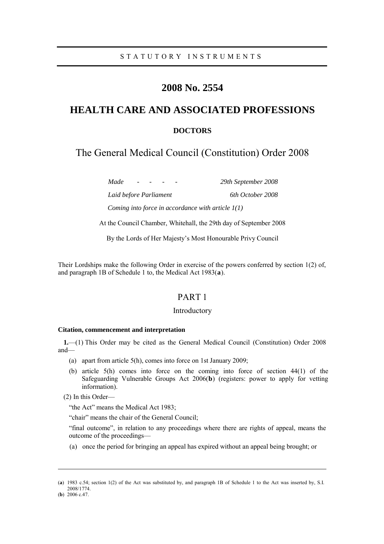# **2008 No. 2554**

# **HEALTH CARE AND ASSOCIATED PROFESSIONS**

# **DOCTORS**

The General Medical Council (Constitution) Order 2008

*Made - - - - 29th September 2008 Laid before Parliament 6th October 2008 Coming into force in accordance with article 1(1)*

At the Council Chamber, Whitehall, the 29th day of September 2008

By the Lords of Her Majesty's Most Honourable Privy Council

Their Lordships make the following Order in exercise of the powers conferred by section 1(2) of, and paragraph 1B of Schedule 1 to, the Medical Act 1983(**a**).

# PART 1

## Introductory

#### **Citation, commencement and interpretation**

**1.**—(1) This Order may be cited as the General Medical Council (Constitution) Order 2008 and—

- (a) apart from article 5(h), comes into force on 1st January 2009;
- (b) article 5(h) comes into force on the coming into force of section 44(1) of the Safeguarding Vulnerable Groups Act 2006(**b**) (registers: power to apply for vetting information).

(2) In this Order—

"the Act" means the Medical Act 1983;

"chair" means the chair of the General Council;

"final outcome", in relation to any proceedings where there are rights of appeal, means the outcome of the proceedings—

(a) once the period for bringing an appeal has expired without an appeal being brought; or

<sup>(</sup>**a**) 1983 c.54; section 1(2) of the Act was substituted by, and paragraph 1B of Schedule 1 to the Act was inserted by, S.I. 2008/1774.

<sup>(</sup>**b**) 2006 c.47.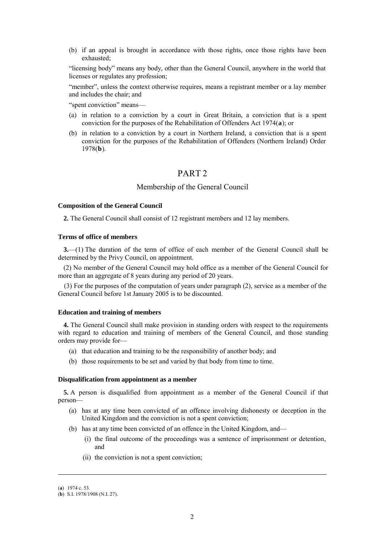(b) if an appeal is brought in accordance with those rights, once those rights have been exhausted;

"licensing body" means any body, other than the General Council, anywhere in the world that licenses or regulates any profession;

"member", unless the context otherwise requires, means a registrant member or a lay member and includes the chair; and

"spent conviction" means—

- (a) in relation to a conviction by a court in Great Britain, a conviction that is a spent conviction for the purposes of the Rehabilitation of Offenders Act 1974(**a**); or
- (b) in relation to a conviction by a court in Northern Ireland, a conviction that is a spent conviction for the purposes of the Rehabilitation of Offenders (Northern Ireland) Order 1978(**b**).

# PART 2

## Membership of the General Council

#### **Composition of the General Council**

**2.** The General Council shall consist of 12 registrant members and 12 lay members.

## **Terms of office of members**

**3.**—(1) The duration of the term of office of each member of the General Council shall be determined by the Privy Council, on appointment.

(2) No member of the General Council may hold office as a member of the General Council for more than an aggregate of 8 years during any period of 20 years.

(3) For the purposes of the computation of years under paragraph (2), service as a member of the General Council before 1st January 2005 is to be discounted.

#### **Education and training of members**

**4.** The General Council shall make provision in standing orders with respect to the requirements with regard to education and training of members of the General Council, and those standing orders may provide for—

- (a) that education and training to be the responsibility of another body; and
- (b) those requirements to be set and varied by that body from time to time.

#### **Disqualification from appointment as a member**

**5.** A person is disqualified from appointment as a member of the General Council if that person—

- (a) has at any time been convicted of an offence involving dishonesty or deception in the United Kingdom and the conviction is not a spent conviction;
- (b) has at any time been convicted of an offence in the United Kingdom, and—
	- (i) the final outcome of the proceedings was a sentence of imprisonment or detention, and
	- (ii) the conviction is not a spent conviction;

<sup>(</sup>**a**) 1974 c. 53.

<sup>(</sup>**b**) S.I. 1978/1908 (N.I. 27).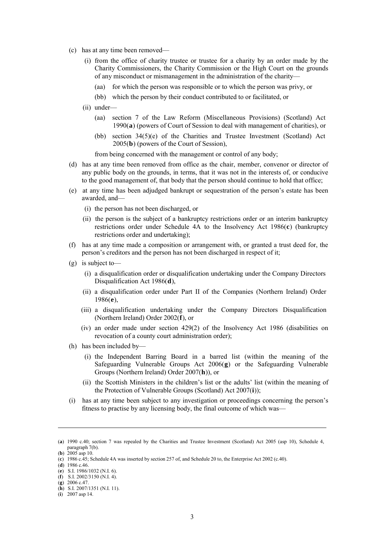- (c) has at any time been removed—
	- (i) from the office of charity trustee or trustee for a charity by an order made by the Charity Commissioners, the Charity Commission or the High Court on the grounds of any misconduct or mismanagement in the administration of the charity—
		- (aa) for which the person was responsible or to which the person was privy, or
		- (bb) which the person by their conduct contributed to or facilitated, or
	- (ii) under—
		- (aa) section 7 of the Law Reform (Miscellaneous Provisions) (Scotland) Act 1990(**a**) (powers of Court of Session to deal with management of charities), or
		- (bb) section 34(5)(e) of the Charities and Trustee Investment (Scotland) Act 2005(**b**) (powers of the Court of Session),

from being concerned with the management or control of any body;

- (d) has at any time been removed from office as the chair, member, convenor or director of any public body on the grounds, in terms, that it was not in the interests of, or conducive to the good management of, that body that the person should continue to hold that office;
- (e) at any time has been adjudged bankrupt or sequestration of the person's estate has been awarded, and—
	- (i) the person has not been discharged, or
	- (ii) the person is the subject of a bankruptcy restrictions order or an interim bankruptcy restrictions order under Schedule 4A to the Insolvency Act 1986(**c**) (bankruptcy restrictions order and undertaking);
- (f) has at any time made a composition or arrangement with, or granted a trust deed for, the person's creditors and the person has not been discharged in respect of it;
- (g) is subject to—
	- (i) a disqualification order or disqualification undertaking under the Company Directors Disqualification Act 1986(**d**),
	- (ii) a disqualification order under Part II of the Companies (Northern Ireland) Order 1986(**e**),
	- (iii) a disqualification undertaking under the Company Directors Disqualification (Northern Ireland) Order 2002(**f**), or
	- (iv) an order made under section 429(2) of the Insolvency Act 1986 (disabilities on revocation of a county court administration order);
- (h) has been included by—
	- (i) the Independent Barring Board in a barred list (within the meaning of the Safeguarding Vulnerable Groups Act 2006(**g**) or the Safeguarding Vulnerable Groups (Northern Ireland) Order 2007(**h**)), or
	- (ii) the Scottish Ministers in the children's list or the adults' list (within the meaning of the Protection of Vulnerable Groups (Scotland) Act 2007(**i**));
- (i) has at any time been subject to any investigation or proceedings concerning the person's fitness to practise by any licensing body, the final outcome of which was—

<sup>(</sup>**a**) 1990 c.40; section 7 was repealed by the Charities and Trustee Investment (Scotland) Act 2005 (asp 10), Schedule 4, paragraph 7(b).

<sup>(</sup>**b**) 2005 asp 10.

<sup>(</sup>**c**) 1986 c.45; Schedule 4A was inserted by section 257 of, and Schedule 20 to, the Enterprise Act 2002 (c.40).

<sup>(</sup>**d**) 1986 c.46.

<sup>(</sup>**e**) S.I. 1986/1032 (N.I. 6). (**f**) S.I. 2002/3150 (N.I. 4).

<sup>(</sup>**g**) 2006 c.47.

<sup>(</sup>**h**) S.I. 2007/1351 (N.I. 11).

<sup>(</sup>**i**) 2007 asp 14.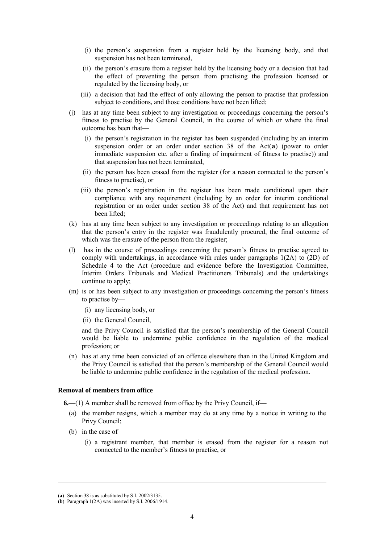- (i) the person's suspension from a register held by the licensing body, and that suspension has not been terminated,
- (ii) the person's erasure from a register held by the licensing body or a decision that had the effect of preventing the person from practising the profession licensed or regulated by the licensing body, or
- (iii) a decision that had the effect of only allowing the person to practise that profession subject to conditions, and those conditions have not been lifted;
- (j) has at any time been subject to any investigation or proceedings concerning the person's fitness to practise by the General Council, in the course of which or where the final outcome has been that—
	- (i) the person's registration in the register has been suspended (including by an interim suspension order or an order under section 38 of the Act(**a**) (power to order immediate suspension etc. after a finding of impairment of fitness to practise)) and that suspension has not been terminated,
	- (ii) the person has been erased from the register (for a reason connected to the person's fitness to practise), or
	- (iii) the person's registration in the register has been made conditional upon their compliance with any requirement (including by an order for interim conditional registration or an order under section 38 of the Act) and that requirement has not been lifted;
- (k) has at any time been subject to any investigation or proceedings relating to an allegation that the person's entry in the register was fraudulently procured, the final outcome of which was the erasure of the person from the register;
- (l) has in the course of proceedings concerning the person's fitness to practise agreed to comply with undertakings, in accordance with rules under paragraphs 1(2A) to (2D) of Schedule 4 to the Act (procedure and evidence before the Investigation Committee, Interim Orders Tribunals and Medical Practitioners Tribunals) and the undertakings continue to apply:
- (m) is or has been subject to any investigation or proceedings concerning the person's fitness to practise by—
	- (i) any licensing body, or
	- (ii) the General Council,

and the Privy Council is satisfied that the person's membership of the General Council would be liable to undermine public confidence in the regulation of the medical profession; or

(n) has at any time been convicted of an offence elsewhere than in the United Kingdom and the Privy Council is satisfied that the person's membership of the General Council would be liable to undermine public confidence in the regulation of the medical profession.

#### **Removal of members from office**

**6.**—(1) A member shall be removed from office by the Privy Council, if—

- (a) the member resigns, which a member may do at any time by a notice in writing to the Privy Council;
- (b) in the case of—
	- (i) a registrant member, that member is erased from the register for a reason not connected to the member's fitness to practise, or

<sup>(</sup>**a**) Section 38 is as substituted by S.I. 2002/3135.

<sup>(</sup>**b**) Paragraph 1(2A) was inserted by S.I. 2006/1914.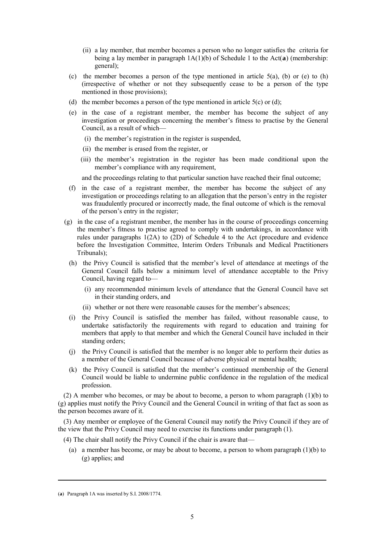- (ii) a lay member, that member becomes a person who no longer satisfies the criteria for being a lay member in paragraph  $1A(1)(b)$  of Schedule 1 to the Act(**a**) (membership: general);
- (c) the member becomes a person of the type mentioned in article  $5(a)$ , (b) or (e) to (h) (irrespective of whether or not they subsequently cease to be a person of the type mentioned in those provisions);
- (d) the member becomes a person of the type mentioned in article  $5(c)$  or (d);
- (e) in the case of a registrant member, the member has become the subject of any investigation or proceedings concerning the member's fitness to practise by the General Council, as a result of which—
	- (i) the member's registration in the register is suspended,
	- (ii) the member is erased from the register, or
	- (iii) the member's registration in the register has been made conditional upon the member's compliance with any requirement,

and the proceedings relating to that particular sanction have reached their final outcome;

- (f) in the case of a registrant member, the member has become the subject of any investigation or proceedings relating to an allegation that the person's entry in the register was fraudulently procured or incorrectly made, the final outcome of which is the removal of the person's entry in the register;
- (g) in the case of a registrant member, the member has in the course of proceedings concerning the member's fitness to practise agreed to comply with undertakings, in accordance with rules under paragraphs 1(2A) to (2D) of Schedule 4 to the Act (procedure and evidence before the Investigation Committee, Interim Orders Tribunals and Medical Practitioners Tribunals);
	- (h) the Privy Council is satisfied that the member's level of attendance at meetings of the General Council falls below a minimum level of attendance acceptable to the Privy Council, having regard to—
		- (i) any recommended minimum levels of attendance that the General Council have set in their standing orders, and
		- (ii) whether or not there were reasonable causes for the member's absences;
	- (i) the Privy Council is satisfied the member has failed, without reasonable cause, to undertake satisfactorily the requirements with regard to education and training for members that apply to that member and which the General Council have included in their standing orders;
	- (j) the Privy Council is satisfied that the member is no longer able to perform their duties as a member of the General Council because of adverse physical or mental health;
	- (k) the Privy Council is satisfied that the member's continued membership of the General Council would be liable to undermine public confidence in the regulation of the medical profession.

(2) A member who becomes, or may be about to become, a person to whom paragraph (1)(b) to (g) applies must notify the Privy Council and the General Council in writing of that fact as soon as the person becomes aware of it.

(3) Any member or employee of the General Council may notify the Privy Council if they are of the view that the Privy Council may need to exercise its functions under paragraph (1).

(4) The chair shall notify the Privy Council if the chair is aware that—

(a) a member has become, or may be about to become, a person to whom paragraph  $(1)(b)$  to (g) applies; and

<sup>(</sup>**a**) Paragraph 1A was inserted by S.I. 2008/1774.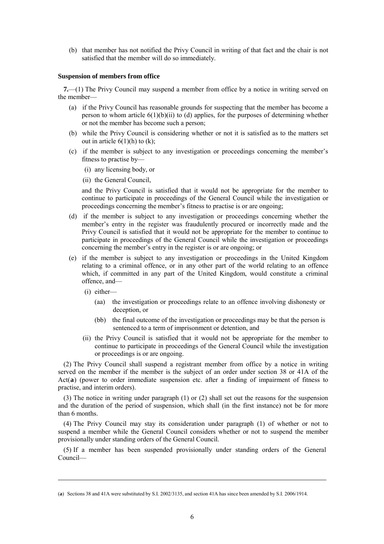(b) that member has not notified the Privy Council in writing of that fact and the chair is not satisfied that the member will do so immediately.

#### **Suspension of members from office**

**7.**—(1) The Privy Council may suspend a member from office by a notice in writing served on the member—

- (a) if the Privy Council has reasonable grounds for suspecting that the member has become a person to whom article  $6(1)(b)(ii)$  to (d) applies, for the purposes of determining whether or not the member has become such a person;
- (b) while the Privy Council is considering whether or not it is satisfied as to the matters set out in article  $6(1)(h)$  to  $(k)$ ;
- (c) if the member is subject to any investigation or proceedings concerning the member's fitness to practise by—
	- (i) any licensing body, or
	- (ii) the General Council,

and the Privy Council is satisfied that it would not be appropriate for the member to continue to participate in proceedings of the General Council while the investigation or proceedings concerning the member's fitness to practise is or are ongoing;

- (d) if the member is subject to any investigation or proceedings concerning whether the member's entry in the register was fraudulently procured or incorrectly made and the Privy Council is satisfied that it would not be appropriate for the member to continue to participate in proceedings of the General Council while the investigation or proceedings concerning the member's entry in the register is or are ongoing; or
- (e) if the member is subject to any investigation or proceedings in the United Kingdom relating to a criminal offence, or in any other part of the world relating to an offence which, if committed in any part of the United Kingdom, would constitute a criminal offence, and—
	- (i) either—
		- (aa) the investigation or proceedings relate to an offence involving dishonesty or deception, or
		- (bb) the final outcome of the investigation or proceedings may be that the person is sentenced to a term of imprisonment or detention, and
	- (ii) the Privy Council is satisfied that it would not be appropriate for the member to continue to participate in proceedings of the General Council while the investigation or proceedings is or are ongoing.

(2) The Privy Council shall suspend a registrant member from office by a notice in writing served on the member if the member is the subject of an order under section 38 or 41A of the Act(**a**) (power to order immediate suspension etc. after a finding of impairment of fitness to practise, and interim orders).

(3) The notice in writing under paragraph (1) or (2) shall set out the reasons for the suspension and the duration of the period of suspension, which shall (in the first instance) not be for more than 6 months.

(4) The Privy Council may stay its consideration under paragraph (1) of whether or not to suspend a member while the General Council considers whether or not to suspend the member provisionally under standing orders of the General Council.

(5) If a member has been suspended provisionally under standing orders of the General Council—

<sup>(</sup>**a**) Sections 38 and 41A were substituted by S.I. 2002/3135, and section 41A has since been amended by S.I. 2006/1914.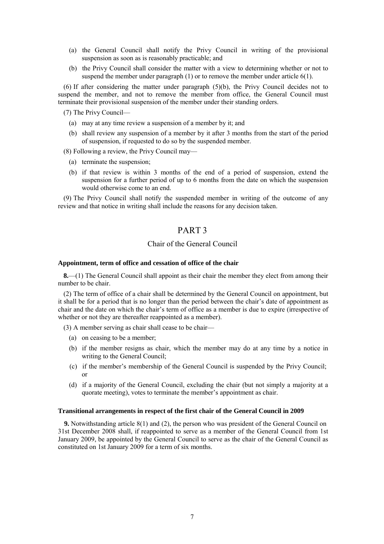- (a) the General Council shall notify the Privy Council in writing of the provisional suspension as soon as is reasonably practicable; and
- (b) the Privy Council shall consider the matter with a view to determining whether or not to suspend the member under paragraph (1) or to remove the member under article 6(1).

(6) If after considering the matter under paragraph (5)(b), the Privy Council decides not to suspend the member, and not to remove the member from office, the General Council must terminate their provisional suspension of the member under their standing orders.

(7) The Privy Council—

- (a) may at any time review a suspension of a member by it; and
- (b) shall review any suspension of a member by it after 3 months from the start of the period of suspension, if requested to do so by the suspended member.

(8) Following a review, the Privy Council may—

- (a) terminate the suspension;
- (b) if that review is within 3 months of the end of a period of suspension, extend the suspension for a further period of up to 6 months from the date on which the suspension would otherwise come to an end.

(9) The Privy Council shall notify the suspended member in writing of the outcome of any review and that notice in writing shall include the reasons for any decision taken.

# PART 3

## Chair of the General Council

#### **Appointment, term of office and cessation of office of the chair**

**8.**—(1) The General Council shall appoint as their chair the member they elect from among their number to be chair.

(2) The term of office of a chair shall be determined by the General Council on appointment, but it shall be for a period that is no longer than the period between the chair's date of appointment as chair and the date on which the chair's term of office as a member is due to expire (irrespective of whether or not they are thereafter reappointed as a member).

- (3) A member serving as chair shall cease to be chair—
	- (a) on ceasing to be a member;
	- (b) if the member resigns as chair, which the member may do at any time by a notice in writing to the General Council;
	- (c) if the member's membership of the General Council is suspended by the Privy Council; or
	- (d) if a majority of the General Council, excluding the chair (but not simply a majority at a quorate meeting), votes to terminate the member's appointment as chair.

#### **Transitional arrangements in respect of the first chair of the General Council in 2009**

**9.** Notwithstanding article 8(1) and (2), the person who was president of the General Council on 31st December 2008 shall, if reappointed to serve as a member of the General Council from 1st January 2009, be appointed by the General Council to serve as the chair of the General Council as constituted on 1st January 2009 for a term of six months.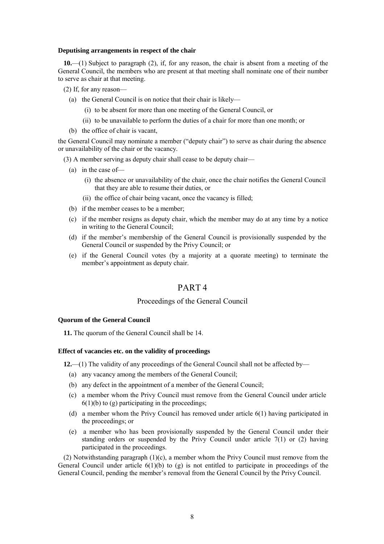#### **Deputising arrangements in respect of the chair**

**10.**—(1) Subject to paragraph (2), if, for any reason, the chair is absent from a meeting of the General Council, the members who are present at that meeting shall nominate one of their number to serve as chair at that meeting.

- (2) If, for any reason—
	- (a) the General Council is on notice that their chair is likely—
		- (i) to be absent for more than one meeting of the General Council, or
		- (ii) to be unavailable to perform the duties of a chair for more than one month; or
	- (b) the office of chair is vacant,

the General Council may nominate a member ("deputy chair") to serve as chair during the absence or unavailability of the chair or the vacancy.

(3) A member serving as deputy chair shall cease to be deputy chair—

- (a) in the case of—
	- (i) the absence or unavailability of the chair, once the chair notifies the General Council that they are able to resume their duties, or
	- (ii) the office of chair being vacant, once the vacancy is filled;
- (b) if the member ceases to be a member;
- (c) if the member resigns as deputy chair, which the member may do at any time by a notice in writing to the General Council;
- (d) if the member's membership of the General Council is provisionally suspended by the General Council or suspended by the Privy Council; or
- (e) if the General Council votes (by a majority at a quorate meeting) to terminate the member's appointment as deputy chair.

# PART 4

## Proceedings of the General Council

#### **Quorum of the General Council**

**11.** The quorum of the General Council shall be 14.

#### **Effect of vacancies etc. on the validity of proceedings**

**12.**—(1) The validity of any proceedings of the General Council shall not be affected by—

- (a) any vacancy among the members of the General Council;
- (b) any defect in the appointment of a member of the General Council;
- (c) a member whom the Privy Council must remove from the General Council under article  $6(1)(b)$  to (g) participating in the proceedings;
- (d) a member whom the Privy Council has removed under article 6(1) having participated in the proceedings; or
- (e) a member who has been provisionally suspended by the General Council under their standing orders or suspended by the Privy Council under article 7(1) or (2) having participated in the proceedings.

(2) Notwithstanding paragraph (1)(c), a member whom the Privy Council must remove from the General Council under article 6(1)(b) to (g) is not entitled to participate in proceedings of the General Council, pending the member's removal from the General Council by the Privy Council.